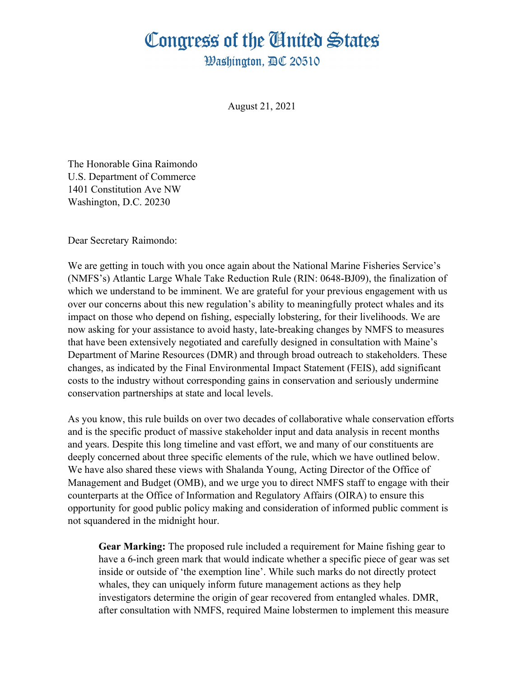## Congress of the Ginited States

**Washington. AC 20510** 

August 21, 2021

The Honorable Gina Raimondo U.S. Department of Commerce 1401 Constitution Ave NW Washington, D.C. 20230

Dear Secretary Raimondo:

We are getting in touch with you once again about the National Marine Fisheries Service's (NMFS's) Atlantic Large Whale Take Reduction Rule (RIN: 0648-BJ09), the finalization of which we understand to be imminent. We are grateful for your previous engagement with us over our concerns about this new regulation's ability to meaningfully protect whales and its impact on those who depend on fishing, especially lobstering, for their livelihoods. We are now asking for your assistance to avoid hasty, late-breaking changes by NMFS to measures that have been extensively negotiated and carefully designed in consultation with Maine's Department of Marine Resources (DMR) and through broad outreach to stakeholders. These changes, as indicated by the Final Environmental Impact Statement (FEIS), add significant costs to the industry without corresponding gains in conservation and seriously undermine conservation partnerships at state and local levels.

As you know, this rule builds on over two decades of collaborative whale conservation efforts and is the specific product of massive stakeholder input and data analysis in recent months and years. Despite this long timeline and vast effort, we and many of our constituents are deeply concerned about three specific elements of the rule, which we have outlined below. We have also shared these views with Shalanda Young, Acting Director of the Office of Management and Budget (OMB), and we urge you to direct NMFS staff to engage with their counterparts at the Office of Information and Regulatory Affairs (OIRA) to ensure this opportunity for good public policy making and consideration of informed public comment is not squandered in the midnight hour.

**Gear Marking:** The proposed rule included a requirement for Maine fishing gear to have a 6-inch green mark that would indicate whether a specific piece of gear was set inside or outside of 'the exemption line'. While such marks do not directly protect whales, they can uniquely inform future management actions as they help investigators determine the origin of gear recovered from entangled whales. DMR, after consultation with NMFS, required Maine lobstermen to implement this measure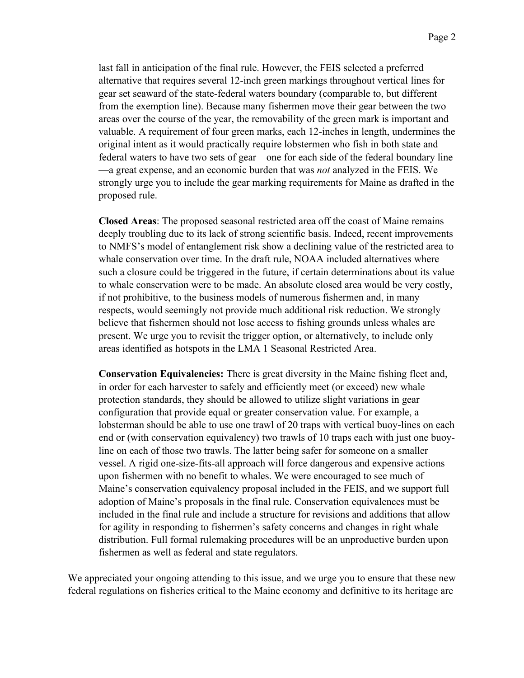last fall in anticipation of the final rule. However, the FEIS selected a preferred alternative that requires several 12-inch green markings throughout vertical lines for gear set seaward of the state-federal waters boundary (comparable to, but different from the exemption line). Because many fishermen move their gear between the two areas over the course of the year, the removability of the green mark is important and valuable. A requirement of four green marks, each 12-inches in length, undermines the original intent as it would practically require lobstermen who fish in both state and federal waters to have two sets of gear—one for each side of the federal boundary line —a great expense, and an economic burden that was *not* analyzed in the FEIS. We strongly urge you to include the gear marking requirements for Maine as drafted in the proposed rule.

**Closed Areas**: The proposed seasonal restricted area off the coast of Maine remains deeply troubling due to its lack of strong scientific basis. Indeed, recent improvements to NMFS's model of entanglement risk show a declining value of the restricted area to whale conservation over time. In the draft rule, NOAA included alternatives where such a closure could be triggered in the future, if certain determinations about its value to whale conservation were to be made. An absolute closed area would be very costly, if not prohibitive, to the business models of numerous fishermen and, in many respects, would seemingly not provide much additional risk reduction. We strongly believe that fishermen should not lose access to fishing grounds unless whales are present. We urge you to revisit the trigger option, or alternatively, to include only areas identified as hotspots in the LMA 1 Seasonal Restricted Area.

**Conservation Equivalencies:** There is great diversity in the Maine fishing fleet and, in order for each harvester to safely and efficiently meet (or exceed) new whale protection standards, they should be allowed to utilize slight variations in gear configuration that provide equal or greater conservation value. For example, a lobsterman should be able to use one trawl of 20 traps with vertical buoy-lines on each end or (with conservation equivalency) two trawls of 10 traps each with just one buoyline on each of those two trawls. The latter being safer for someone on a smaller vessel. A rigid one-size-fits-all approach will force dangerous and expensive actions upon fishermen with no benefit to whales. We were encouraged to see much of Maine's conservation equivalency proposal included in the FEIS, and we support full adoption of Maine's proposals in the final rule. Conservation equivalences must be included in the final rule and include a structure for revisions and additions that allow for agility in responding to fishermen's safety concerns and changes in right whale distribution. Full formal rulemaking procedures will be an unproductive burden upon fishermen as well as federal and state regulators.

We appreciated your ongoing attending to this issue, and we urge you to ensure that these new federal regulations on fisheries critical to the Maine economy and definitive to its heritage are